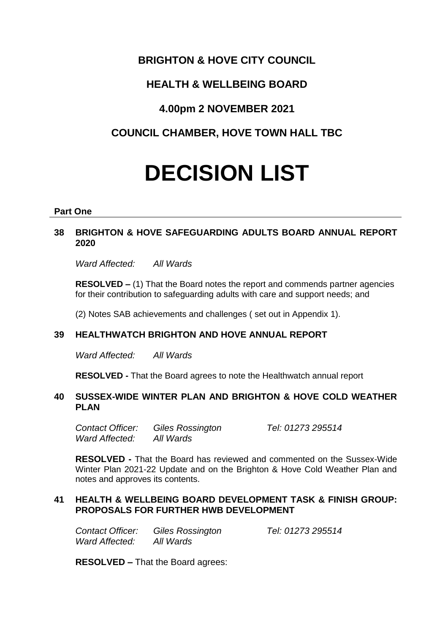## **BRIGHTON & HOVE CITY COUNCIL**

# **HEALTH & WELLBEING BOARD**

## **4.00pm 2 NOVEMBER 2021**

# **COUNCIL CHAMBER, HOVE TOWN HALL TBC**

# **DECISION LIST**

#### **Part One**

### **38 BRIGHTON & HOVE SAFEGUARDING ADULTS BOARD ANNUAL REPORT 2020**

*Ward Affected: All Wards*

**RESOLVED –** (1) That the Board notes the report and commends partner agencies for their contribution to safeguarding adults with care and support needs; and

(2) Notes SAB achievements and challenges ( set out in Appendix 1).

## **39 HEALTHWATCH BRIGHTON AND HOVE ANNUAL REPORT**

*Ward Affected: All Wards*

**RESOLVED -** That the Board agrees to note the Healthwatch annual report

#### **40 SUSSEX-WIDE WINTER PLAN AND BRIGHTON & HOVE COLD WEATHER PLAN**

*Contact Officer: Giles Rossington Tel: 01273 295514 Ward Affected: All Wards*

**RESOLVED -** That the Board has reviewed and commented on the Sussex-Wide Winter Plan 2021-22 Update and on the Brighton & Hove Cold Weather Plan and notes and approves its contents.

#### **41 HEALTH & WELLBEING BOARD DEVELOPMENT TASK & FINISH GROUP: PROPOSALS FOR FURTHER HWB DEVELOPMENT**

*Contact Officer: Giles Rossington Tel: 01273 295514 Ward Affected: All Wards*

**RESOLVED –** That the Board agrees: